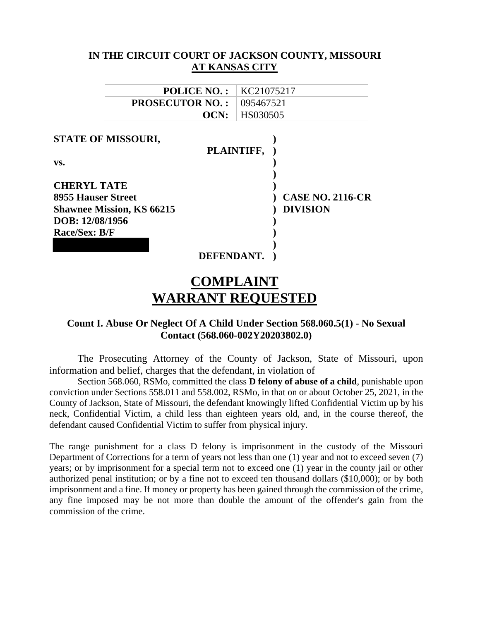|                                  |                       |            | IN THE CIRCUIT COURT OF JACKSON COUNTY, MISSOURI |
|----------------------------------|-----------------------|------------|--------------------------------------------------|
|                                  | <b>AT KANSAS CITY</b> |            |                                                  |
|                                  | <b>POLICE NO.:</b>    | KC21075217 |                                                  |
| <b>PROSECUTOR NO.:</b>           |                       | 095467521  |                                                  |
|                                  | OCN:                  | HS030505   |                                                  |
| <b>STATE OF MISSOURI,</b><br>VS. |                       | PLAINTIFF, |                                                  |
| <b>CHERYL TATE</b>               |                       |            |                                                  |
| <b>8955 Hauser Street</b>        |                       |            | <b>CASE NO. 2116-CR</b>                          |
| <b>Shawnee Mission, KS 66215</b> |                       |            | <b>DIVISION</b>                                  |
| DOB: 12/08/1956                  |                       |            |                                                  |
| <b>Race/Sex: B/F</b>             |                       |            |                                                  |
|                                  |                       |            |                                                  |
|                                  | <b>DEFENDANT,</b>     |            |                                                  |

# **COMPLAINT WARRANT REQUESTED**

## **Count I. Abuse Or Neglect Of A Child Under Section 568.060.5(1) - No Sexual Contact (568.060-002Y20203802.0)**

The Prosecuting Attorney of the County of Jackson, State of Missouri, upon information and belief, charges that the defendant, in violation of

Section 568.060, RSMo, committed the class **D felony of abuse of a child**, punishable upon conviction under Sections 558.011 and 558.002, RSMo, in that on or about October 25, 2021, in the County of Jackson, State of Missouri, the defendant knowingly lifted Confidential Victim up by his neck, Confidential Victim, a child less than eighteen years old, and, in the course thereof, the defendant caused Confidential Victim to suffer from physical injury.

The range punishment for a class D felony is imprisonment in the custody of the Missouri Department of Corrections for a term of years not less than one (1) year and not to exceed seven (7) years; or by imprisonment for a special term not to exceed one (1) year in the county jail or other authorized penal institution; or by a fine not to exceed ten thousand dollars (\$10,000); or by both imprisonment and a fine. If money or property has been gained through the commission of the crime, any fine imposed may be not more than double the amount of the offender's gain from the commission of the crime.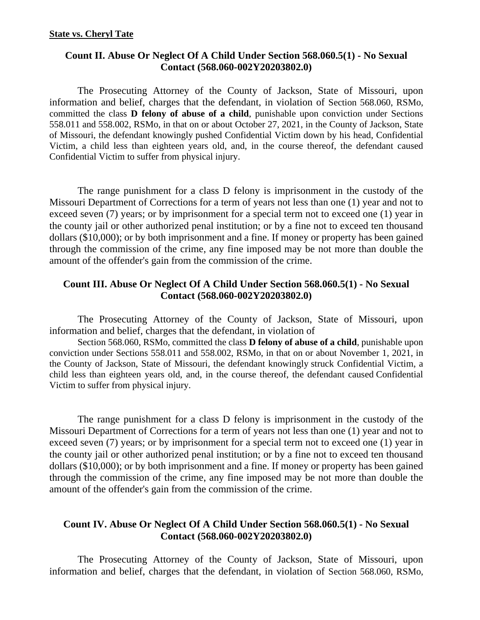## **Count II. Abuse Or Neglect Of A Child Under Section 568.060.5(1) - No Sexual Contact (568.060-002Y20203802.0)**

The Prosecuting Attorney of the County of Jackson, State of Missouri, upon information and belief, charges that the defendant, in violation of Section 568.060, RSMo, committed the class **D felony of abuse of a child**, punishable upon conviction under Sections 558.011 and 558.002, RSMo, in that on or about October 27, 2021, in the County of Jackson, State of Missouri, the defendant knowingly pushed Confidential Victim down by his head, Confidential Victim, a child less than eighteen years old, and, in the course thereof, the defendant caused Confidential Victim to suffer from physical injury.

The range punishment for a class D felony is imprisonment in the custody of the Missouri Department of Corrections for a term of years not less than one (1) year and not to exceed seven (7) years; or by imprisonment for a special term not to exceed one (1) year in the county jail or other authorized penal institution; or by a fine not to exceed ten thousand dollars (\$10,000); or by both imprisonment and a fine. If money or property has been gained through the commission of the crime, any fine imposed may be not more than double the amount of the offender's gain from the commission of the crime.

## **Count III. Abuse Or Neglect Of A Child Under Section 568.060.5(1) - No Sexual Contact (568.060-002Y20203802.0)**

The Prosecuting Attorney of the County of Jackson, State of Missouri, upon information and belief, charges that the defendant, in violation of

Section 568.060, RSMo, committed the class **D felony of abuse of a child**, punishable upon conviction under Sections 558.011 and 558.002, RSMo, in that on or about November 1, 2021, in the County of Jackson, State of Missouri, the defendant knowingly struck Confidential Victim, a child less than eighteen years old, and, in the course thereof, the defendant caused Confidential Victim to suffer from physical injury.

The range punishment for a class D felony is imprisonment in the custody of the Missouri Department of Corrections for a term of years not less than one (1) year and not to exceed seven (7) years; or by imprisonment for a special term not to exceed one (1) year in the county jail or other authorized penal institution; or by a fine not to exceed ten thousand dollars (\$10,000); or by both imprisonment and a fine. If money or property has been gained through the commission of the crime, any fine imposed may be not more than double the amount of the offender's gain from the commission of the crime.

## **Count IV. Abuse Or Neglect Of A Child Under Section 568.060.5(1) - No Sexual Contact (568.060-002Y20203802.0)**

The Prosecuting Attorney of the County of Jackson, State of Missouri, upon information and belief, charges that the defendant, in violation of Section 568.060, RSMo,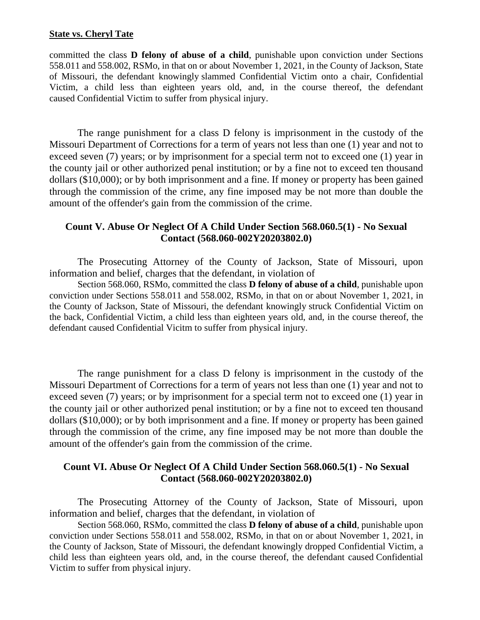#### **State vs. Cheryl Tate**

committed the class **D felony of abuse of a child**, punishable upon conviction under Sections 558.011 and 558.002, RSMo, in that on or about November 1, 2021, in the County of Jackson, State of Missouri, the defendant knowingly slammed Confidential Victim onto a chair, Confidential Victim, a child less than eighteen years old, and, in the course thereof, the defendant caused Confidential Victim to suffer from physical injury.

The range punishment for a class D felony is imprisonment in the custody of the Missouri Department of Corrections for a term of years not less than one (1) year and not to exceed seven (7) years; or by imprisonment for a special term not to exceed one (1) year in the county jail or other authorized penal institution; or by a fine not to exceed ten thousand dollars (\$10,000); or by both imprisonment and a fine. If money or property has been gained through the commission of the crime, any fine imposed may be not more than double the amount of the offender's gain from the commission of the crime.

## **Count V. Abuse Or Neglect Of A Child Under Section 568.060.5(1) - No Sexual Contact (568.060-002Y20203802.0)**

The Prosecuting Attorney of the County of Jackson, State of Missouri, upon information and belief, charges that the defendant, in violation of

Section 568.060, RSMo, committed the class **D felony of abuse of a child**, punishable upon conviction under Sections 558.011 and 558.002, RSMo, in that on or about November 1, 2021, in the County of Jackson, State of Missouri, the defendant knowingly struck Confidential Victim on the back, Confidential Victim, a child less than eighteen years old, and, in the course thereof, the defendant caused Confidential Vicitm to suffer from physical injury.

The range punishment for a class D felony is imprisonment in the custody of the Missouri Department of Corrections for a term of years not less than one (1) year and not to exceed seven (7) years; or by imprisonment for a special term not to exceed one (1) year in the county jail or other authorized penal institution; or by a fine not to exceed ten thousand dollars (\$10,000); or by both imprisonment and a fine. If money or property has been gained through the commission of the crime, any fine imposed may be not more than double the amount of the offender's gain from the commission of the crime.

## **Count VI. Abuse Or Neglect Of A Child Under Section 568.060.5(1) - No Sexual Contact (568.060-002Y20203802.0)**

The Prosecuting Attorney of the County of Jackson, State of Missouri, upon information and belief, charges that the defendant, in violation of

Section 568.060, RSMo, committed the class **D felony of abuse of a child**, punishable upon conviction under Sections 558.011 and 558.002, RSMo, in that on or about November 1, 2021, in the County of Jackson, State of Missouri, the defendant knowingly dropped Confidential Victim, a child less than eighteen years old, and, in the course thereof, the defendant caused Confidential Victim to suffer from physical injury.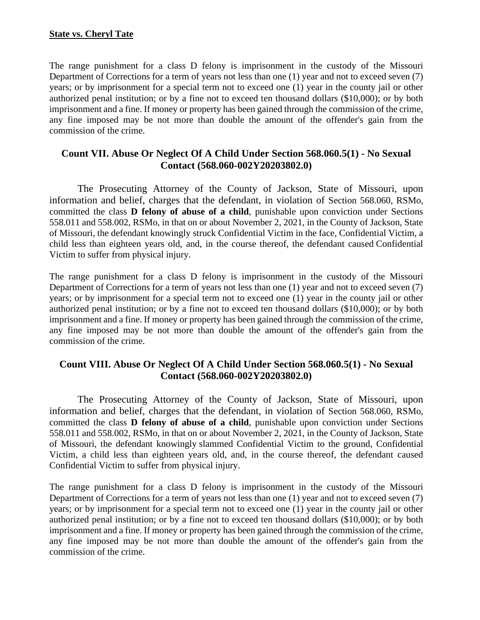#### **State vs. Cheryl Tate**

The range punishment for a class D felony is imprisonment in the custody of the Missouri Department of Corrections for a term of years not less than one (1) year and not to exceed seven (7) years; or by imprisonment for a special term not to exceed one (1) year in the county jail or other authorized penal institution; or by a fine not to exceed ten thousand dollars (\$10,000); or by both imprisonment and a fine. If money or property has been gained through the commission of the crime, any fine imposed may be not more than double the amount of the offender's gain from the commission of the crime.

## **Count VII. Abuse Or Neglect Of A Child Under Section 568.060.5(1) - No Sexual Contact (568.060-002Y20203802.0)**

The Prosecuting Attorney of the County of Jackson, State of Missouri, upon information and belief, charges that the defendant, in violation of Section 568.060, RSMo, committed the class **D felony of abuse of a child**, punishable upon conviction under Sections 558.011 and 558.002, RSMo, in that on or about November 2, 2021, in the County of Jackson, State of Missouri, the defendant knowingly struck Confidential Victim in the face, Confidential Victim, a child less than eighteen years old, and, in the course thereof, the defendant caused Confidential Victim to suffer from physical injury.

The range punishment for a class D felony is imprisonment in the custody of the Missouri Department of Corrections for a term of years not less than one (1) year and not to exceed seven (7) years; or by imprisonment for a special term not to exceed one (1) year in the county jail or other authorized penal institution; or by a fine not to exceed ten thousand dollars (\$10,000); or by both imprisonment and a fine. If money or property has been gained through the commission of the crime, any fine imposed may be not more than double the amount of the offender's gain from the commission of the crime.

## **Count VIII. Abuse Or Neglect Of A Child Under Section 568.060.5(1) - No Sexual Contact (568.060-002Y20203802.0)**

The Prosecuting Attorney of the County of Jackson, State of Missouri, upon information and belief, charges that the defendant, in violation of Section 568.060, RSMo, committed the class **D felony of abuse of a child**, punishable upon conviction under Sections 558.011 and 558.002, RSMo, in that on or about November 2, 2021, in the County of Jackson, State of Missouri, the defendant knowingly slammed Confidential Victim to the ground, Confidential Victim, a child less than eighteen years old, and, in the course thereof, the defendant caused Confidential Victim to suffer from physical injury.

The range punishment for a class D felony is imprisonment in the custody of the Missouri Department of Corrections for a term of years not less than one (1) year and not to exceed seven (7) years; or by imprisonment for a special term not to exceed one (1) year in the county jail or other authorized penal institution; or by a fine not to exceed ten thousand dollars (\$10,000); or by both imprisonment and a fine. If money or property has been gained through the commission of the crime, any fine imposed may be not more than double the amount of the offender's gain from the commission of the crime.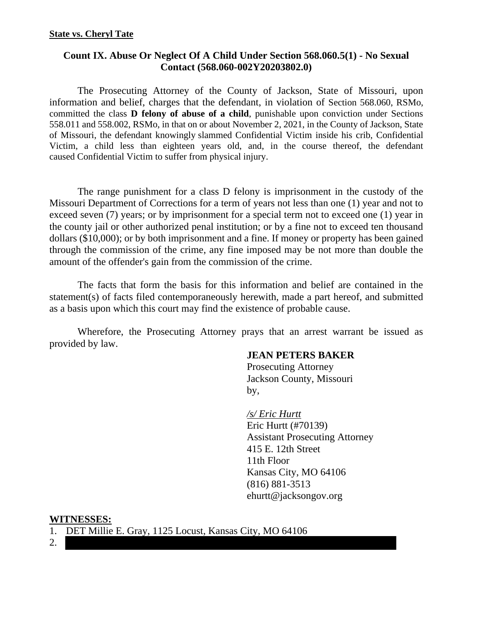## **Count IX. Abuse Or Neglect Of A Child Under Section 568.060.5(1) - No Sexual Contact (568.060-002Y20203802.0)**

The Prosecuting Attorney of the County of Jackson, State of Missouri, upon information and belief, charges that the defendant, in violation of Section 568.060, RSMo, committed the class **D felony of abuse of a child**, punishable upon conviction under Sections 558.011 and 558.002, RSMo, in that on or about November 2, 2021, in the County of Jackson, State of Missouri, the defendant knowingly slammed Confidential Victim inside his crib, Confidential Victim, a child less than eighteen years old, and, in the course thereof, the defendant caused Confidential Victim to suffer from physical injury.

The range punishment for a class D felony is imprisonment in the custody of the Missouri Department of Corrections for a term of years not less than one (1) year and not to exceed seven (7) years; or by imprisonment for a special term not to exceed one (1) year in the county jail or other authorized penal institution; or by a fine not to exceed ten thousand dollars (\$10,000); or by both imprisonment and a fine. If money or property has been gained through the commission of the crime, any fine imposed may be not more than double the amount of the offender's gain from the commission of the crime.

The facts that form the basis for this information and belief are contained in the statement(s) of facts filed contemporaneously herewith, made a part hereof, and submitted as a basis upon which this court may find the existence of probable cause.

Wherefore, the Prosecuting Attorney prays that an arrest warrant be issued as provided by law.

#### **JEAN PETERS BAKER**

 Prosecuting Attorney Jackson County, Missouri by,

> */s/ Eric Hurtt*  Eric Hurtt (#70139) Assistant Prosecuting Attorney 415 E. 12th Street 11th Floor Kansas City, MO 64106 (816) 881-3513 ehurtt@jacksongov.org

#### **WITNESSES:**

- 1. DET Millie E. Gray, 1125 Locust, Kansas City, MO 64106
- 2.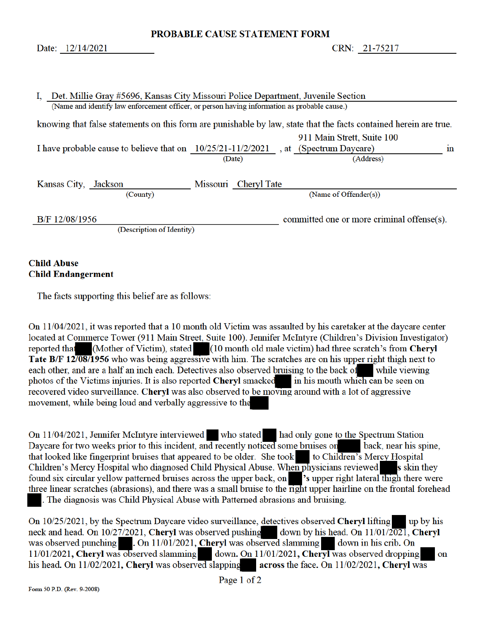PROBABLE CAUSE STATEMENT FORM

CRN: 21-75217

| Det. Millie Gray #5696, Kansas City Missouri Police Department, Juvenile Section<br>I.                            |        |                      |  |                                            |                |  |  |  |
|-------------------------------------------------------------------------------------------------------------------|--------|----------------------|--|--------------------------------------------|----------------|--|--|--|
| (Name and identify law enforcement officer, or person having information as probable cause.)                      |        |                      |  |                                            |                |  |  |  |
| knowing that false statements on this form are punishable by law, state that the facts contained herein are true. |        |                      |  |                                            |                |  |  |  |
|                                                                                                                   |        |                      |  | 911 Main Strett, Suite 100                 |                |  |  |  |
| I have probable cause to believe that on 10/25/21-11/2/2021, at (Spectrum Daycare)                                |        |                      |  |                                            | 1 <sub>n</sub> |  |  |  |
|                                                                                                                   | (Date) |                      |  | (Address)                                  |                |  |  |  |
|                                                                                                                   |        |                      |  |                                            |                |  |  |  |
| Kansas City, Jackson                                                                                              |        | Missouri Cheryl Tate |  |                                            |                |  |  |  |
| (County)                                                                                                          |        |                      |  | (Name of Offender(s))                      |                |  |  |  |
|                                                                                                                   |        |                      |  |                                            |                |  |  |  |
| B/F 12/08/1956                                                                                                    |        |                      |  | committed one or more criminal offense(s). |                |  |  |  |
| (Description of Identity)                                                                                         |        |                      |  |                                            |                |  |  |  |
|                                                                                                                   |        |                      |  |                                            |                |  |  |  |

## **Child Abuse Child Endangerment**

The facts supporting this belief are as follows:

On 11/04/2021, it was reported that a 10 month old Victim was assaulted by his caretaker at the daycare center located at Commerce Tower (911 Main Street, Suite 100). Jennifer McIntyre (Children's Division Investigator) reported that (Mother of Victim), stated (10 month old male victim) had three scratch's from Cheryl Tate B/F 12/08/1956 who was being aggressive with him. The scratches are on his upper right thigh next to each other, and are a half an inch each. Detectives also observed bruising to the back of while viewing photos of the Victims injuries. It is also reported Cheryl smacked in his mouth which can be seen on recovered video surveillance. Cheryl was also observed to be moving around with a lot of aggressive movement, while being loud and verbally aggressive to the

On 11/04/2021, Jennifer McIntyre interviewed who stated had only gone to the Spectrum Station Daycare for two weeks prior to this incident, and recently noticed some bruises on back, near his spine, that looked like fingerprint bruises that appeared to be older. She took to Children's Mercy Hospital Children's Mercy Hospital who diagnosed Child Physical Abuse. When physicians reviewed s skin they found six circular yellow patterned bruises across the upper back, on 's upper right lateral thigh there were three linear scratches (abrasions), and there was a small bruise to the right upper hairline on the frontal forehead The diagnosis was Child Physical Abuse with Patterned abrasions and bruising.

On 10/25/2021, by the Spectrum Daycare video surveillance, detectives observed Cheryl lifting up by his neck and head. On 10/27/2021, Cheryl was observed pushing down by his head. On 11/01/2021, Cheryl was observed punching . On 11/01/2021, Cheryl was observed slamming down in his crib. On 11/01/2021, Cheryl was observed slamming down. On 11/01/2021, Cheryl was observed dropping on his head. On 11/02/2021, Cheryl was observed slapping across the face. On 11/02/2021, Cheryl was